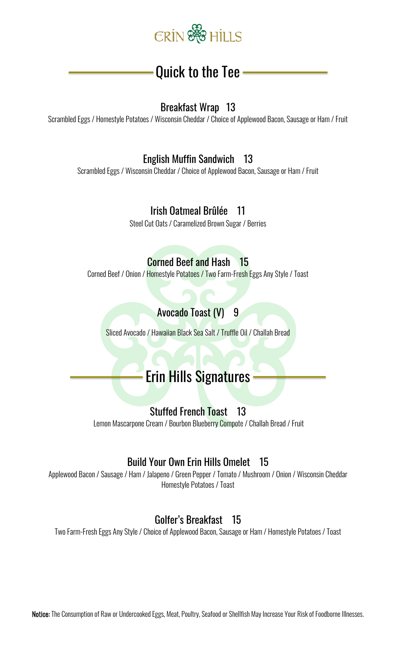

# Quick to the Tee

#### Breakfast Wrap 13

Scrambled Eggs / Homestyle Potatoes / Wisconsin Cheddar / Choice of Applewood Bacon, Sausage or Ham / Fruit

### English Muffin Sandwich 13

Scrambled Eggs / Wisconsin Cheddar / Choice of Applewood Bacon, Sausage or Ham / Fruit

### Irish Oatmeal Brûlée 11

Steel Cut Oats / Caramelized Brown Sugar / Berries

#### Corned Beef and Hash 15

Corned Beef / Onion / Homestyle Potatoes / Two Farm-Fresh Eggs Any Style / Toast

# Avocado Toast (V) 9

Sliced Avocado / Hawaiian Black Sea Salt / Truffle Oil / Challah Bread

# Erin Hills Signatures

#### Stuffed French Toast 13

Lemon Mascarpone Cream / Bourbon Blueberry Compote / Challah Bread / Fruit

#### Build Your Own Erin Hills Omelet 15

Applewood Bacon / Sausage / Ham / Jalapeno / Green Pepper / Tomato / Mushroom / Onion / Wisconsin Cheddar Homestyle Potatoes / Toast

#### Golfer's Breakfast 15

Two Farm-Fresh Eggs Any Style / Choice of Applewood Bacon, Sausage or Ham / Homestyle Potatoes / Toast